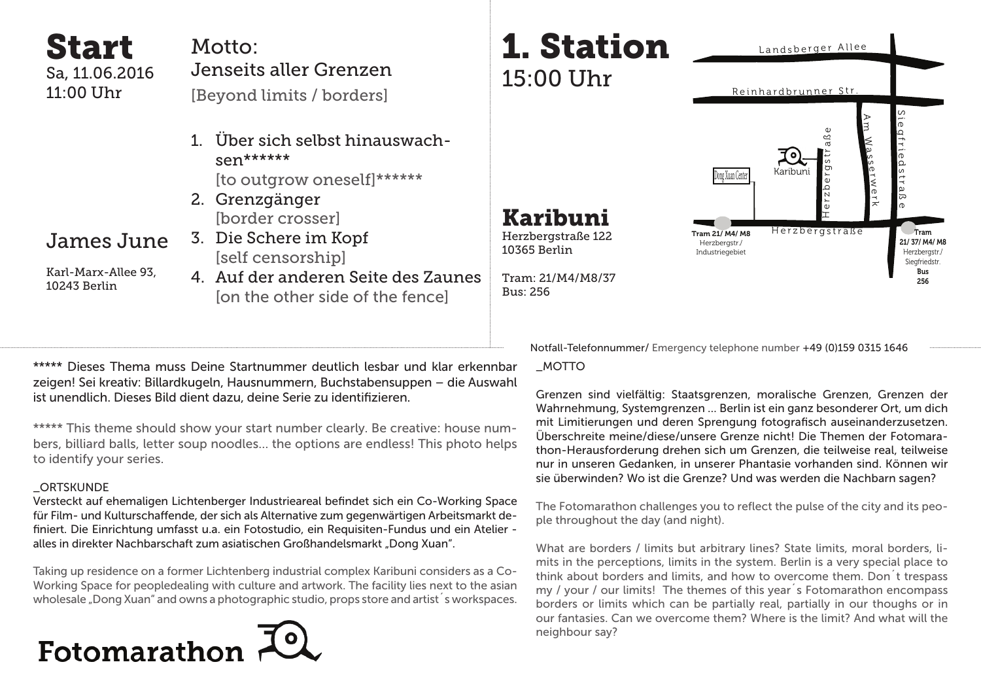Start Sa, 11.06.2016 11:00 Uhr

### Motto: Jenseits aller Grenzen

[Beyond limits / borders]

- 1. Über sich selbst hinauswachsen\*\*\*\*\*\* [to outgrow oneself]\*\*\*\*\*\*
- 2. Grenzgänger [border crosser]
- James June

Karl-Marx-Allee 93, 10243 Berlin

3. Die Schere im Kopf [self censorship] 4. Auf der anderen Seite des Zaunes

[on the other side of the fence]

\*\*\*\*\* Dieses Thema muss Deine Startnummer deutlich lesbar und klar erkennbar zeigen! Sei kreativ: Billardkugeln, Hausnummern, Buchstabensuppen – die Auswahl ist unendlich. Dieses Bild dient dazu, deine Serie zu identifizieren.

\*\*\*\*\* This theme should show your start number clearly. Be creative: house numbers, billiard balls, letter soup noodles… the options are endless! This photo helps to identify your series.

### **ORTSKUNDE**

Versteckt auf ehemaligen Lichtenberger Industrieareal befindet sich ein Co-Working Space für Film- und Kulturschaffende, der sich als Alternative zum gegenwärtigen Arbeitsmarkt definiert. Die Einrichtung umfasst u.a. ein Fotostudio, ein Requisiten-Fundus und ein Atelier alles in direkter Nachbarschaft zum asiatischen Großhandelsmarkt "Dong Xuan".

Taking up residence on a former Lichtenberg industrial complex Karibuni considers as a Co-Working Space for peopledealing with culture and artwork. The facility lies next to the asian wholesale "Dong Xuan" and owns a photographic studio, props store and artist's workspaces.





Karibuni Herzbergstraße 122 10365 Berlin

Tram: 21/M4/M8/37 Bus: 256

Herzbergstraße 工 e r z b e r g s t r a ß e n i መ  $\bm\varOmega$ ┑ r i መ  $\mathsf \Omega$ s  $\overline{\phantom{a}}$ r a ದ ወ A ∃ W  $^{\circ}$ m s መ  $\tilde{}$ w መ r  $\bm{\pi}$ Karibuni Tram 21/ M4/ M8 Herzbergstr./ Industriegebiet Tram 21/ 37/ M4/ M8 Herzbergstr./ Siegfriedstr Bus 256 Dong Xuan Center

Notfall-Telefonnummer/ Emergency telephone number +49 (0)159 0315 1646

\_MOTTO

Grenzen sind vielfältig: Staatsgrenzen, moralische Grenzen, Grenzen der Wahrnehmung, Systemgrenzen … Berlin ist ein ganz besonderer Ort, um dich mit Limitierungen und deren Sprengung fotografisch auseinanderzusetzen. Überschreite meine/diese/unsere Grenze nicht! Die Themen der Fotomarathon-Herausforderung drehen sich um Grenzen, die teilweise real, teilweise nur in unseren Gedanken, in unserer Phantasie vorhanden sind. Können wir sie überwinden? Wo ist die Grenze? Und was werden die Nachbarn sagen?

The Fotomarathon challenges you to reflect the pulse of the city and its people throughout the day (and night).

What are borders / limits but arbitrary lines? State limits, moral borders, limits in the perceptions, limits in the system. Berlin is a very special place to think about borders and limits, and how to overcome them. Don´t trespass my / your / our limits! The themes of this year´s Fotomarathon encompass borders or limits which can be partially real, partially in our thoughs or in our fantasies. Can we overcome them? Where is the limit? And what will the neighbour say?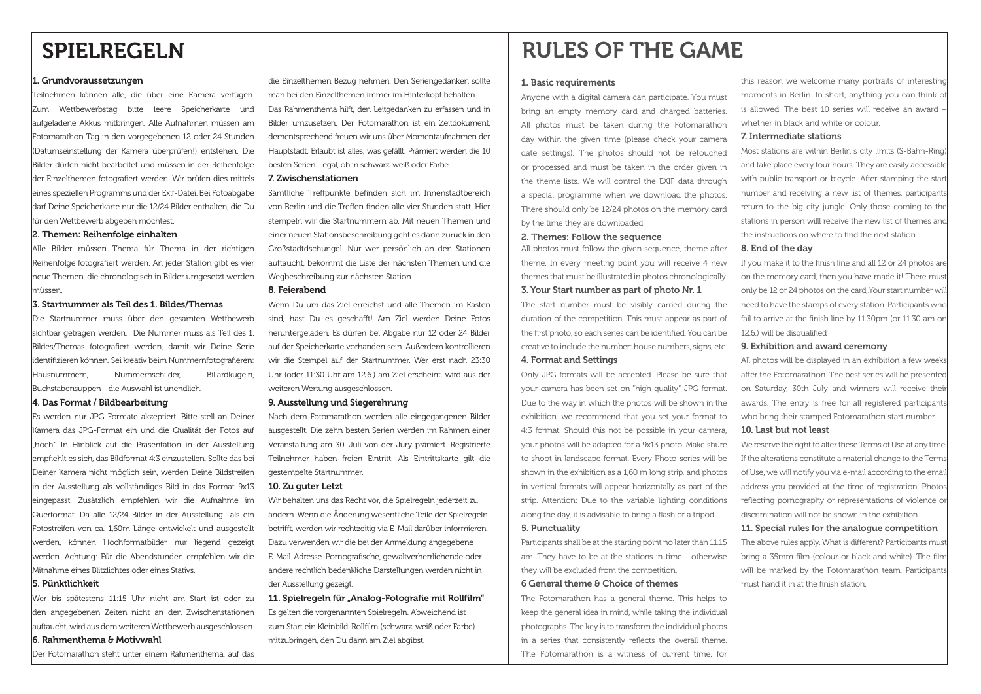## SPIELREGELN

#### 1. Grundvoraussetzungen

Teilnehmen können alle, die über eine Kamera verfügen. Zum Wettbewerbstag bitte leere Speicherkarte und aufgeladene Akkus mitbringen. Alle Aufnahmen müssen am Fotomarathon-Tag in den vorgegebenen 12 oder 24 Stunden (Datumseinstellung der Kamera überprüfen!) entstehen. Die Bilder dürfen nicht bearbeitet und müssen in der Reihenfolge der Einzelthemen fotografiert werden. Wir prüfen dies mittels eines speziellen Programms und der Exif-Datei. Bei Fotoabgabe darf Deine Speicherkarte nur die 12/24 Bilder enthalten, die Du für den Wettbewerb abgeben möchtest.

#### 2. Themen: Reihenfolge einhalten

Alle Bilder müssen Thema für Thema in der richtigen Reihenfolge fotografiert werden. An jeder Station gibt es vier neue Themen, die chronologisch in Bilder umgesetzt werden müssen.

### 3. Startnummer als Teil des 1. Bildes/Themas

Die Startnummer muss über den gesamten Wettbewerb sichtbar getragen werden. Die Nummer muss als Teil des 1. Bildes/Themas fotografiert werden, damit wir Deine Serie identifizieren können. Sei kreativ beim Nummernfotografieren: Hausnummern, Nummernschilder, Billardkugeln, Buchstabensuppen - die Auswahl ist unendlich.

#### 4. Das Format / Bildbearbeitung

Es werden nur JPG-Formate akzeptiert. Bitte stell an Deiner Kamera das JPG-Format ein und die Qualität der Fotos auf "hoch". In Hinblick auf die Präsentation in der Ausstellung empfiehlt es sich, das Bildformat 4:3 einzustellen. Sollte das bei Deiner Kamera nicht möglich sein, werden Deine Bildstreifen in der Ausstellung als vollständiges Bild in das Format 9x13 eingepasst. Zusätzlich empfehlen wir die Aufnahme im Querformat. Da alle 12/24 Bilder in der Ausstellung als ein Fotostreifen von ca. 1,60m Länge entwickelt und ausgestellt werden, können Hochformatbilder nur liegend gezeigt werden. Achtung: Für die Abendstunden empfehlen wir die Mitnahme eines Blitzlichtes oder eines Stativs.

#### 5. Pünktlichkeit

Wer bis spätestens 11:15 Uhr nicht am Start ist oder zu den angegebenen Zeiten nicht an den Zwischenstationen auftaucht, wird aus dem weiteren Wettbewerb ausgeschlossen.

### 6. Rahmenthema & Motivwahl

Der Fotomarathon steht unter einem Rahmenthema, auf das

die Einzelthemen Bezug nehmen. Den Seriengedanken sollte man bei den Einzelthemen immer im Hinterkopf behalten. Das Rahmenthema hilft, den Leitgedanken zu erfassen und in Bilder umzusetzen. Der Fotomarathon ist ein Zeitdokument, dementsprechend freuen wir uns über Momentaufnahmen der Hauptstadt. Erlaubt ist alles, was gefällt. Prämiert werden die 10 besten Serien - egal, ob in schwarz-weiß oder Farbe.

#### 7. Zwischenstationen

Sämtliche Treffpunkte befinden sich im Innenstadtbereich von Berlin und die Treffen finden alle vier Stunden statt. Hier stempeln wir die Startnummern ab. Mit neuen Themen und einer neuen Stationsbeschreibung geht es dann zurück in den Großstadtdschungel. Nur wer persönlich an den Stationen auftaucht, bekommt die Liste der nächsten Themen und die Wegbeschreibung zur nächsten Station.

### 8. Feierabend

Wenn Du um das Ziel erreichst und alle Themen im Kasten sind, hast Du es geschafft! Am Ziel werden Deine Fotos heruntergeladen. Es dürfen bei Abgabe nur 12 oder 24 Bilder auf der Speicherkarte vorhanden sein. Außerdem kontrollieren wir die Stempel auf der Startnummer. Wer erst nach 23:30 Uhr (oder 11:30 Uhr am 12.6.) am Ziel erscheint, wird aus der weiteren Wertung ausgeschlossen.

#### 9. Ausstellung und Siegerehrung

Nach dem Fotomarathon werden alle eingegangenen Bilder ausgestellt. Die zehn besten Serien werden im Rahmen einer Veranstaltung am 30. Juli von der Jury prämiert. Registrierte Teilnehmer haben freien Eintritt. Als Eintrittskarte gilt die gestempelte Startnummer.

### 10. Zu guter Letzt

Wir behalten uns das Recht vor, die Spielregeln jederzeit zu ändern. Wenn die Änderung wesentliche Teile der Spielregeln betrifft, werden wir rechtzeitig via E-Mail darüber informieren. Dazu verwenden wir die bei der Anmeldung angegebene E-Mail-Adresse. Pornografische, gewaltverherrlichende oder andere rechtlich bedenkliche Darstellungen werden nicht in der Ausstellung gezeigt.

11. Spielregeln für "Analog-Fotografie mit Rollfilm" Es gelten die vorgenannten Spielregeln. Abweichend ist zum Start ein Kleinbild-Rollfilm (schwarz-weiß oder Farbe) mitzubringen, den Du dann am Ziel abgibst.

## RULES OF THE GAME

#### 1. Basic requirements

Anyone with a digital camera can participate. You must bring an empty memory card and charged batteries. All photos must be taken during the Fotomarathon day within the given time (please check your camera date settings). The photos should not be retouched or processed and must be taken in the order given in the theme lists. We will control the EXIF data through a special programme when we download the photos. There should only be 12/24 photos on the memory card by the time they are downloaded.

### 2. Themes: Follow the sequence

All photos must follow the given sequence, theme after theme. In every meeting point you will receive 4 new themes that must be illustrated in photos chronologically.

### 3. Your Start number as part of photo Nr. 1

The start number must be visibly carried during the duration of the competition. This must appear as part of the first photo, so each series can be identified. You can be creative to include the number: house numbers, signs, etc.

### 4. Format and Settings

Only JPG formats will be accepted. Please be sure that your camera has been set on "high quality" JPG format. Due to the way in which the photos will be shown in the exhibition, we recommend that you set your format to 4:3 format. Should this not be possible in your camera, your photos will be adapted for a 9x13 photo. Make shure to shoot in landscape format. Every Photo-series will be shown in the exhibition as a 1,60 m long strip, and photos in vertical formats will appear horizontally as part of the strip. Attention: Due to the variable lighting conditions along the day, it is advisable to bring a flash or a tripod.

#### 5. Punctuality

Participants shall be at the starting point no later than 11.15 am. They have to be at the stations in time - otherwise they will be excluded from the competition.

### 6 General theme & Choice of themes

The Fotomarathon has a general theme. This helps to keep the general idea in mind, while taking the individual photographs. The key is to transform the individual photos in a series that consistently reflects the overall theme. The Fotomarathon is a witness of current time, for

this reason we welcome many portraits of interesting moments in Berlin. In short, anything you can think of is allowed. The best 10 series will receive an award – whether in black and white or colour.

#### 7. Intermediate stations

Most stations are within Berlin´s city limits (S-Bahn-Ring) and take place every four hours. They are easily accessible with public transport or bicycle. After stamping the star number and receiving a new list of themes, participants return to the big city jungle. Only those coming to the stations in person will receive the new list of themes and the instructions on where to find the next station

### 8. End of the day

If you make it to the finish line and all 12 or 24 photos are on the memory card, then you have made it! There must only be 12 or 24 photos on the card,.Your start number will need to have the stamps of every station. Participants who fail to arrive at the finish line by 11.30pm (or 11.30 am on 12.6.) will be disqualified

### 9. Exhibition and award ceremony

All photos will be displayed in an exhibition a few weeks after the Fotomarathon. The best series will be presented on Saturday, 30th July and winners will receive their awards. The entry is free for all registered participants who bring their stamped Fotomarathon start number. 10. Last but not least

We reserve the right to alter these Terms of Use at any time. If the alterations constitute a material change to the Terms of Use, we will notify you via e-mail according to the email address you provided at the time of registration. Photos reflecting pornography or representations of violence or discrimination will not be shown in the exhibition.

### 11. Special rules for the analogue competition

The above rules apply. What is different? Participants must bring a 35mm film (colour or black and white). The film will be marked by the Fotomarathon team. Participants must hand it in at the finish station.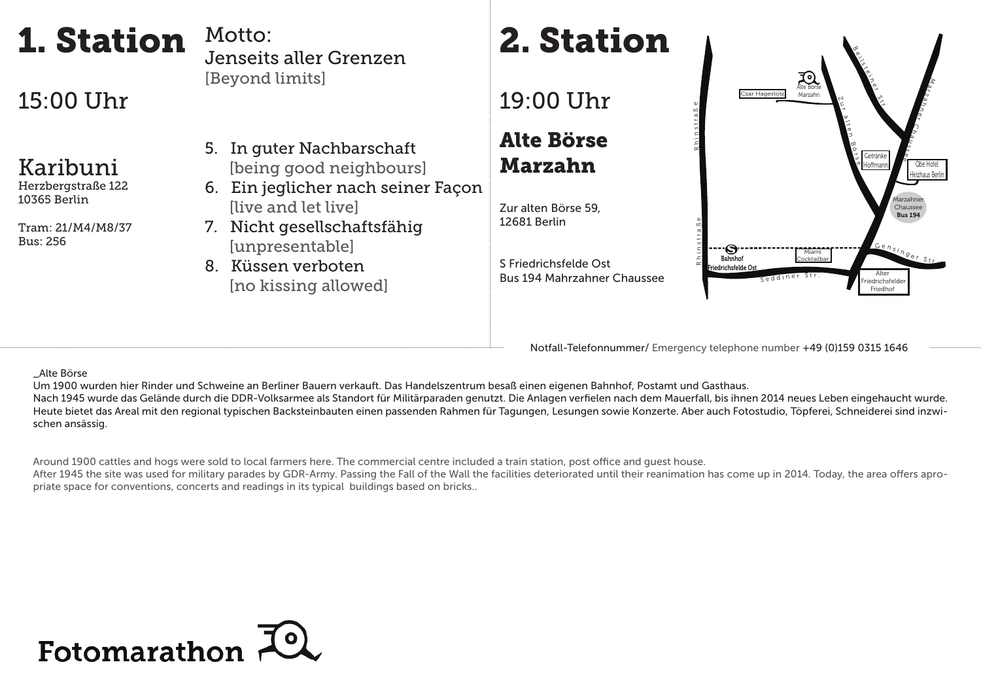



Notfall-Telefonnummer/ Emergency telephone number +49 (0)159 0315 1646

# 15:00 Uhr

1. Station

# Karibuni

Herzbergstraße 122 10365 Berlin

Tram: 21/M4/M8/37 Bus: 256

### \_Alte Börse

Um 1900 wurden hier Rinder und Schweine an Berliner Bauern verkauft. Das Handelszentrum besaß einen eigenen Bahnhof, Postamt und Gasthaus. Nach 1945 wurde das Gelände durch die DDR-Volksarmee als Standort für Militärparaden genutzt. Die Anlagen verfielen nach dem Mauerfall, bis ihnen 2014 neues Leben eingehaucht wurde.

Heute bietet das Areal mit den regional typischen Backsteinbauten einen passenden Rahmen für Tagungen, Lesungen sowie Konzerte. Aber auch Fotostudio, Töpferei, Schneiderei sind inzwischen ansässig.

Around 1900 cattles and hogs were sold to local farmers here. The commercial centre included a train station, post office and quest house.

After 1945 the site was used for military parades by GDR-Army. Passing the Fall of the Wall the facilities deteriorated until their reanimation has come up in 2014. Today, the area offers apropriate space for conventions, concerts and readings in its typical buildings based on bricks..

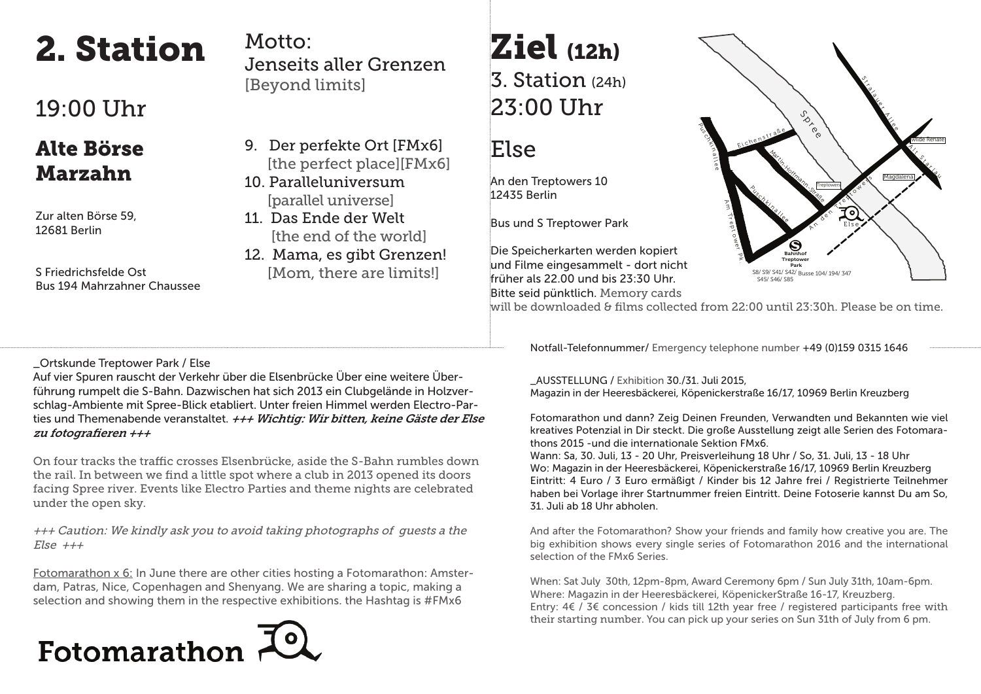# 2. Station

# 19:00 Uhr

## Alte Börse Marzahn

Zur alten Börse 59, 12681 Berlin

S Friedrichsfelde Ost Bus 194 Mahrzahner Chaussee

Motto: Jenseits aller Grenzen [Beyond limits]

- 9. Der perfekte Ort [FMx6] [the perfect place][FMx6]
- 10. Paralleluniversum [parallel universe]
- 11. Das Ende der Welt [the end of the world]
- 12. Mama, es gibt Grenzen! [Mom, there are limits!]

# Ziel (12h) 3. Station (24h) 23:00 Uhr

## Else

An den Treptowers 10 12435 Berlin

Bus und S Treptower Park

Die Speicherkarten werden kopiert und Filme eingesammelt - dort nicht früher als 22.00 und bis 23:30 Uhr. Bitte seid pünktlich. Memory cards



will be downloaded & films collected from  $22:00$  until  $23:30h$ . Please be on time.

Notfall-Telefonnummer/ Emergency telephone number +49 (0)159 0315 1646

### \_Ortskunde Treptower Park / Else

Auf vier Spuren rauscht der Verkehr über die Elsenbrücke Über eine weitere Überführung rumpelt die S-Bahn. Dazwischen hat sich 2013 ein Clubgelände in Holzverschlag-Ambiente mit Spree-Blick etabliert. Unter freien Himmel werden Electro-Parties und Themenabende veranstaltet.  $\#H$  Wichtig: Wir bitten, keine Gäste der Else zu fotografieren  $++$ 

On four tracks the traffic crosses Elsenbrücke, aside the S-Bahn rumbles down the rail. In between we find a little spot where a club in 2013 opened its doors facing Spree river. Events like Electro Parties and theme nights are celebrated under the open sky.

+++ Caution: We kindly ask you to avoid taking photographs of guests a the  $Else$  +++

Fotomarathon x 6: In June there are other cities hosting a Fotomarathon: Amsterdam, Patras, Nice, Copenhagen and Shenyang. We are sharing a topic, making a selection and showing them in the respective exhibitions. the Hashtag is #FMx6

# Fotomarathon

### \_AUSSTELLUNG / Exhibition 30./31. Juli 2015, Magazin in der Heeresbäckerei, Köpenickerstraße 16/17, 10969 Berlin Kreuzberg

Fotomarathon und dann? Zeig Deinen Freunden, Verwandten und Bekannten wie viel kreatives Potenzial in Dir steckt. Die große Ausstellung zeigt alle Serien des Fotomarathons 2015 -und die internationale Sektion FMx6.

Wann: Sa, 30. Juli, 13 - 20 Uhr, Preisverleihung 18 Uhr / So, 31. Juli, 13 - 18 Uhr Wo: Magazin in der Heeresbäckerei, Köpenickerstraße 16/17, 10969 Berlin Kreuzberg Eintritt: 4 Euro / 3 Euro ermäßigt / Kinder bis 12 Jahre frei / Registrierte Teilnehmer haben bei Vorlage ihrer Startnummer freien Eintritt. Deine Fotoserie kannst Du am So, 31. Juli ab 18 Uhr abholen.

And after the Fotomarathon? Show your friends and family how creative you are. The big exhibition shows every single series of Fotomarathon 2016 and the international selection of the FMx6 Series.

When: Sat July 30th, 12pm-8pm, Award Ceremony 6pm / Sun July 31th, 10am-6pm. Where: Magazin in der Heeresbäckerei, KöpenickerStraße 16-17, Kreuzberg. Entry: 4€ / 3€ concession / kids till 12th year free / registered participants free with their starting number. You can pick up your series on Sun 31th of July from 6 pm.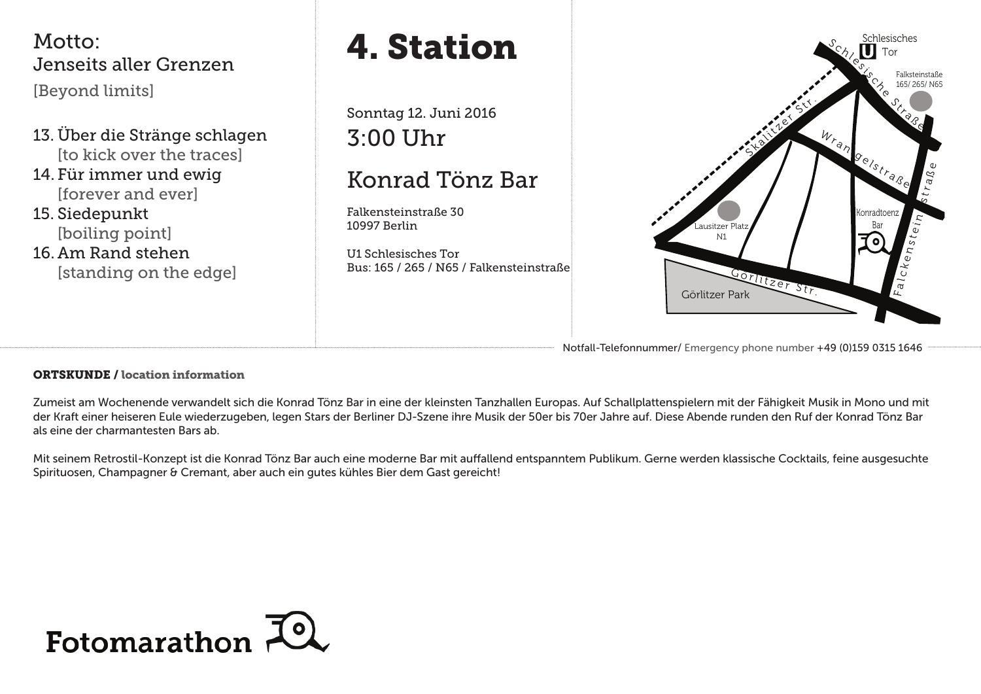Motto: Jenseits aller Grenzen [Beyond limits]

13. Über die Stränge schlagen [to kick over the traces]

14. Für immer und ewig [forever and ever]

15. Siedepunkt [boiling point]

16. Am Rand stehen

# 4. Station

Sonntag 12. Juni 2016 3:00 Uhr

# Konrad Tönz Bar

Falkensteinstraße 30 10997 Berlin

U1 Schlesisches Tor Bus: 165 / 265 / N65 / Falkensteinstraße



Notfall-Telefonnummer/ Emergency phone number +49 (0)159 0315 1646

ORTSKUNDE / location information

Zumeist am Wochenende verwandelt sich die Konrad Tönz Bar in eine der kleinsten Tanzhallen Europas. Auf Schallplattenspielern mit der Fähigkeit Musik in Mono und mit der Kraft einer heiseren Eule wiederzugeben, legen Stars der Berliner DJ-Szene ihre Musik der 50er bis 70er Jahre auf. Diese Abende runden den Ruf der Konrad Tönz Bar als eine der charmantesten Bars ab.

Mit seinem Retrostil-Konzept ist die Konrad Tönz Bar auch eine moderne Bar mit auffallend entspanntem Publikum. Gerne werden klassische Cocktails, feine ausgesuchte Spirituosen, Champagner & Cremant, aber auch ein gutes kühles Bier dem Gast gereicht!

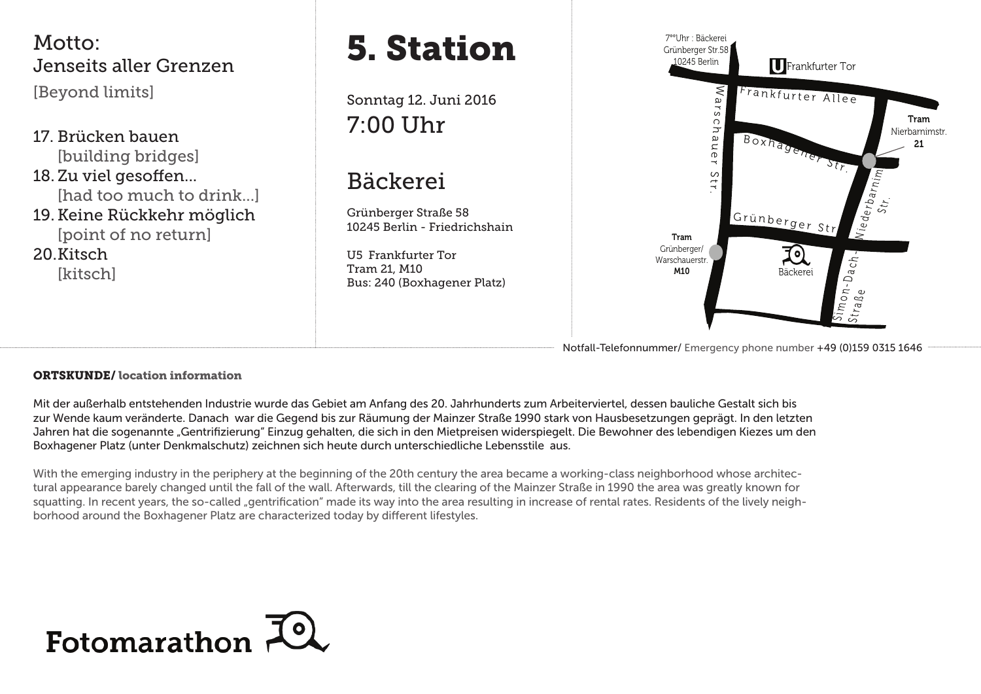

### Notfall-Telefonnummer/ Emergency phone number +49 (0)159 0315 1646

### ORTSKUNDE/ location information

Mit der außerhalb entstehenden Industrie wurde das Gebiet am Anfang des 20. Jahrhunderts zum Arbeiterviertel, dessen bauliche Gestalt sich bis zur Wende kaum veränderte. Danach war die Gegend bis zur Räumung der Mainzer Straße 1990 stark von Hausbesetzungen geprägt. In den letzten Jahren hat die sogenannte "Gentrifizierung" Einzug gehalten, die sich in den Mietpreisen widerspiegelt. Die Bewohner des lebendigen Kiezes um den Boxhagener Platz (unter Denkmalschutz) zeichnen sich heute durch unterschiedliche Lebensstile aus.

With the emerging industry in the periphery at the beginning of the 20th century the area became a working-class neighborhood whose architectural appearance barely changed until the fall of the wall. Afterwards, till the clearing of the Mainzer Straße in 1990 the area was greatly known for squatting. In recent years, the so-called "gentrification" made its way into the area resulting in increase of rental rates. Residents of the lively neighborhood around the Boxhagener Platz are characterized today by different lifestyles.

# Fotomarathon 70